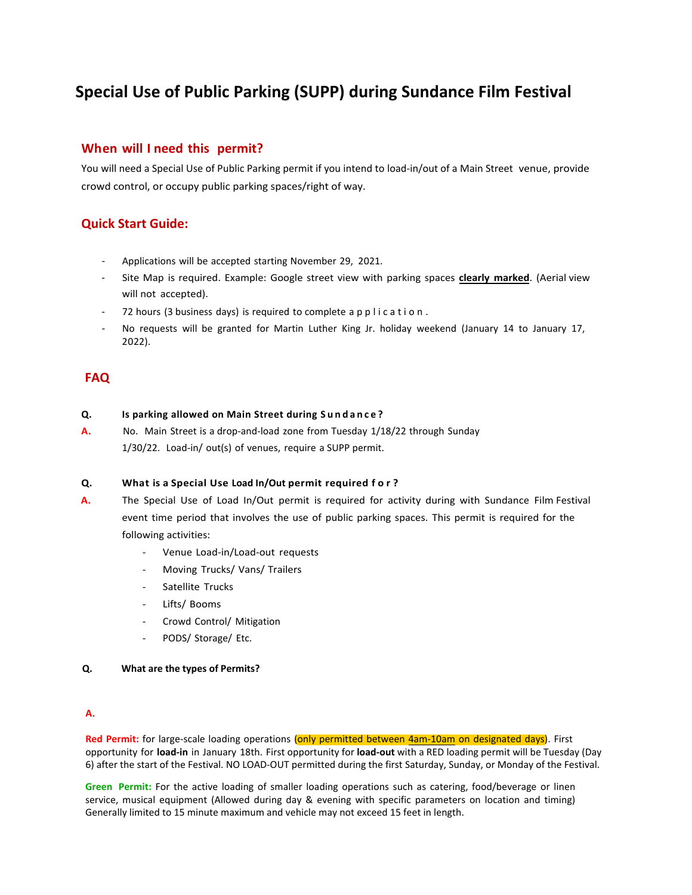# **Special Use of Public Parking (SUPP) during Sundance Film Festival**

# **When will I need this permit?**

You will need a Special Use of Public Parking permit if you intend to load-in/out of a Main Street venue, provide crowd control, or occupy public parking spaces/right of way.

# **Quick Start Guide:**

- Applications will be accepted starting November 29, 2021.
- Site Map is required. Example: Google street view with parking spaces **clearly marked**. (Aerial view will not accepted).
- 72 hours (3 business days) is required to complete a p p l i c a t i o n.
- No requests will be granted for Martin Luther King Jr. holiday weekend (January 14 to January 17, 2022).

# **FAQ**

## **Q. Is parking allowed on Main Street during S u n d a n c e ?**

**A.** No. Main Street is a drop-and-load zone from Tuesday 1/18/22 through Sunday 1/30/22. Load-in/ out(s) of venues, require a SUPP permit.

# **Q. What is a Special Use Load In/Out permit required f o r ?**

- **A.** The Special Use of Load In/Out permit is required for activity during with Sundance Film Festival event time period that involves the use of public parking spaces. This permit is required for the following activities:
	- Venue Load-in/Load-out requests
	- Moving Trucks/ Vans/ Trailers
	- Satellite Trucks
	- Lifts/ Booms
	- Crowd Control/ Mitigation
	- PODS/ Storage/ Etc.
- **Q. What are the types of Permits?**

# **A.**

Red Permit: for large-scale loading operations (only permitted between 4am-10am on designated days). First opportunity for **load-in** in January 18th. First opportunity for **load-out** with a RED loading permit will be Tuesday (Day 6) after the start of the Festival. NO LOAD-OUT permitted during the first Saturday, Sunday, or Monday of the Festival.

**Green Permit:** For the active loading of smaller loading operations such as catering, food/beverage or linen service, musical equipment (Allowed during day & evening with specific parameters on location and timing) Generally limited to 15 minute maximum and vehicle may not exceed 15 feet in length.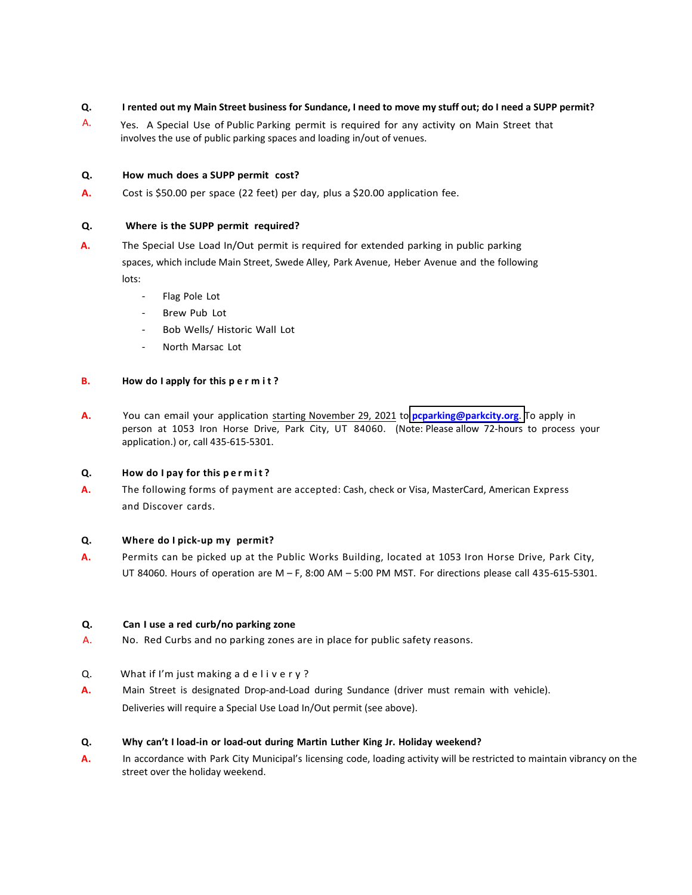## **Q. I rented out my Main Street business for Sundance, I need to move my stuff out; do I need a SUPP permit?**

Yes. A Special Use of Public Parking permit is required for any activity on Main Street that involves the use of public parking spaces and loading in/out of venues. A.

#### **Q. How much does a SUPP permit cost?**

**A.** Cost is \$50.00 per space (22 feet) per day, plus a \$20.00 application fee.

#### **Q. Where is the SUPP permit required?**

- **A.** The Special Use Load In/Out permit is required for extended parking in public parking spaces, which include Main Street, Swede Alley, Park Avenue, Heber Avenue and the following lots:
	- Flag Pole Lot
	- Brew Pub Lot
	- Bob Wells/ Historic Wall Lot
	- North Marsac Lot

## **B. How do I apply for this p e r m i t ?**

**A.** You can email your application starting November 29, 2021 to **pcp[arking@parkcity.org](pcparking@parkcity.org)**. To apply in person at 1053 Iron Horse Drive, Park City, UT 84060. (Note: Please allow 72-hours to process your application.) or, call 435-615-5301.

#### **Q. How do I pay for this p e r m i t ?**

**A.** The following forms of payment are accepted: Cash, check or Visa, MasterCard, American Express and Discover cards.

# **Q. Where do I pick-up my permit?**

**A.** Permits can be picked up at the Public Works Building, located at 1053 Iron Horse Drive, Park City, UT 84060. Hours of operation are M – F, 8:00 AM – 5:00 PM MST. For directions please call 435-615-5301.

#### **Q. Can I use a red curb/no parking zone**

- A. No. Red Curbs and no parking zones are in place for public safety reasons.
- Q. What if I'm just making a delivery?
- **A.** Main Street is designated Drop-and-Load during Sundance (driver must remain with vehicle). Deliveries will require a Special Use Load In/Out permit (see above).

# **Q. Why can't I load-in or load-out during Martin Luther King Jr. Holiday weekend?**

**A.** In accordance with Park City Municipal's licensing code, loading activity will be restricted to maintain vibrancy on the street over the holiday weekend.